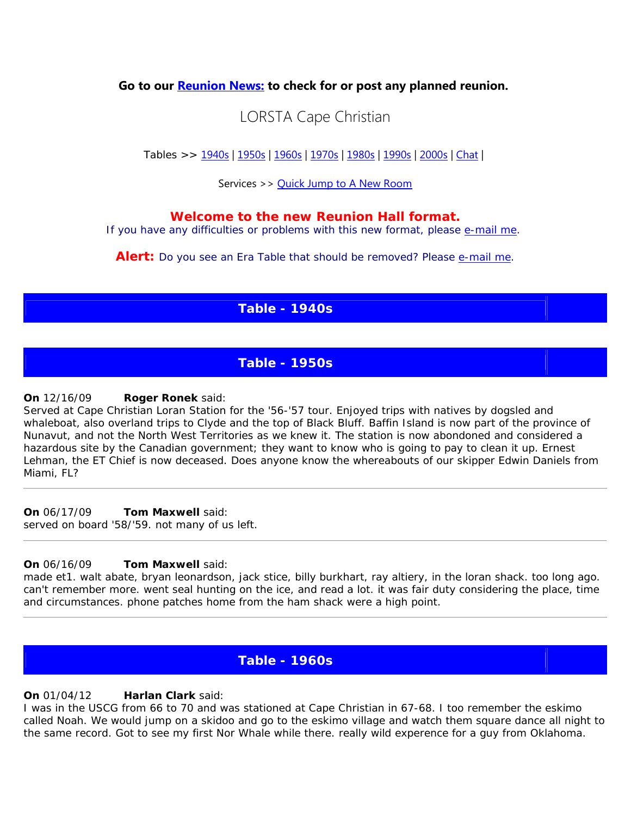**Go to our [Reunion News:](http://www.military.com/Resources/ReunionList/1%2c11127%2cCOASTG%2c00.html) to check for or post any planned reunion.**

# LORSTA Cape Christian

Tables >> [1940s](http://www.fredsplace.org/reunion/d1/0270_n.shtml#1940) | [1950s](http://www.fredsplace.org/reunion/d1/0270_n.shtml#1950) | [1960s](http://www.fredsplace.org/reunion/d1/0270_n.shtml#1960) | [1970s](http://www.fredsplace.org/reunion/d1/0270_n.shtml#1970) | [1980s](http://www.fredsplace.org/reunion/d1/0270_n.shtml#1980) | [1990s](http://www.fredsplace.org/reunion/d1/0270_n.shtml#1990) | [2000s](http://www.fredsplace.org/reunion/d1/0270_n.shtml#2000) | [Chat](http://www.fredsplace.org/reunion/d1/0270_n.shtml#chat) |

Services >> [Quick Jump to A New Room](http://www.fredsplace.org/reunion/d1/0270_n.shtml#qj)

## **Welcome to the new Reunion Hall format.**

If you have any difficulties or problems with this new format, please [e-mail me.](mailto:fred@fredsplace.org?subject=Regarding%20the%20Reunion%20Hall?&body=Fred,%20Regarding%20the%20Reunion%20Hall%20%20...)

**Alert:** Do you see an Era Table that should be removed? Please [e-mail me.](mailto:fred@fredsplace.org?subject=Regarding%20the%20Reunion%20Hall?&body=Please%20insert%20Unit%20Name%20and%20which%20table%20to%20remove%20%20...)

# **Table - 1940s**

# **Table - 1950s**

#### **On** 12/16/0[9](http://www.fredsplace.org/cgi-bin/edir/db.cgi?db=db&uid=default&ID=68849&send_email_form_special=1) **Roger Ronek** said:

Served at Cape Christian Loran Station for the '56-'57 tour. Enjoyed trips with natives by dogsled and whaleboat, also overland trips to Clyde and the top of Black Bluff. Baffin Island is now part of the province of Nunavut, and not the North West Territories as we knew it. The station is now abondoned and considered a hazardous site by the Canadian government; they want to know who is going to pay to clean it up. Ernest Lehman, the ET Chief is now deceased. Does anyone know the whereabouts of our skipper Edwin Daniels from Miami, FL?

#### **On** 06/17/0[9](http://www.fredsplace.org/cgi-bin/edir/db.cgi?db=db&uid=default&ID=67051&send_email_form_special=1) **Tom Maxwell** said:

served on board '58/'59. not many of us left.

#### **On** 06/16/0[9](http://www.fredsplace.org/cgi-bin/edir/db.cgi?db=db&uid=default&ID=67051&send_email_form_special=1) **Tom Maxwell** said:

made et1. walt abate, bryan leonardson, jack stice, billy burkhart, ray altiery, in the loran shack. too long ago. can't remember more. went seal hunting on the ice, and read a lot. it was fair duty considering the place, time and circumstances. phone patches home from the ham shack were a high point.

## **Table - 1960s**

#### **On** 01/04/1[2](http://www.fredsplace.org/cgi-bin/edir/db.cgi?db=db&uid=default&ID=74424&send_email_form_special=1) **Harlan Clark** said:

I was in the USCG from 66 to 70 and was stationed at Cape Christian in 67-68. I too remember the eskimo called Noah. We would jump on a skidoo and go to the eskimo village and watch them square dance all night to the same record. Got to see my first Nor Whale while there. really wild experence for a guy from Oklahoma.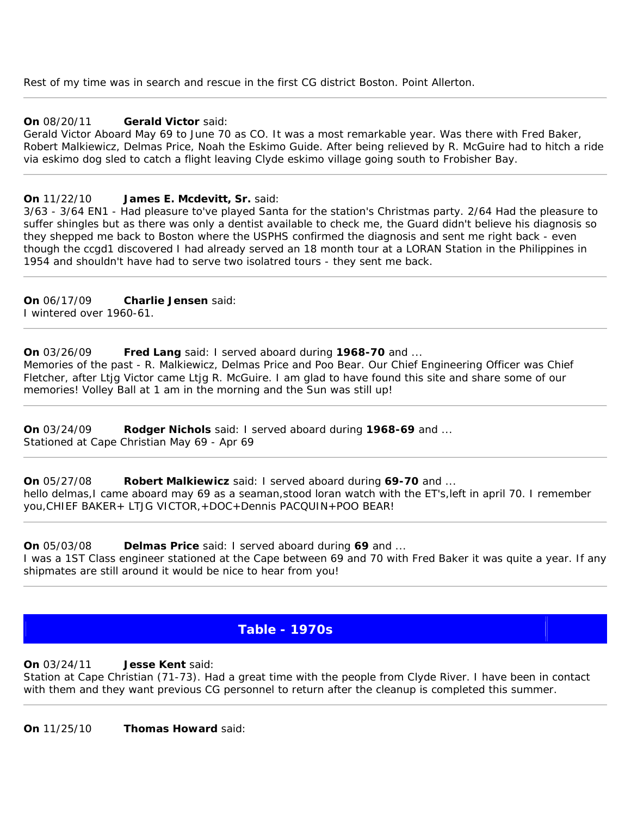Rest of my time was in search and rescue in the first CG district Boston. Point Allerton.

#### **On** 08/20/1[1](http://www.fredsplace.org/cgi-bin/edir/db.cgi?db=db&uid=default&ID=73281&send_email_form_special=1) **Gerald Victor** said:

Gerald Victor Aboard May 69 to June 70 as CO. It was a most remarkable year. Was there with Fred Baker, Robert Malkiewicz, Delmas Price, Noah the Eskimo Guide. After being relieved by R. McGuire had to hitch a ride via eskimo dog sled to catch a flight leaving Clyde eskimo village going south to Frobisher Bay.

#### **On** 11/22/1[0](http://www.fredsplace.org/cgi-bin/edir/db.cgi?db=db&uid=default&ID=24724&send_email_form_special=1) **James E. Mcdevitt, Sr.** said:

3/63 - 3/64 EN1 - Had pleasure to've played Santa for the station's Christmas party. 2/64 Had the pleasure to suffer shingles but as there was only a dentist available to check me, the Guard didn't believe his diagnosis so they shepped me back to Boston where the USPHS confirmed the diagnosis and sent me right back - even though the ccgd1 discovered I had already served an 18 month tour at a LORAN Station in the Philippines in 1954 and shouldn't have had to serve two isolatred tours - they sent me back.

**On** 06/17/0[9](http://www.fredsplace.org/cgi-bin/edir/db.cgi?db=db&uid=default&ID=26252&send_email_form_special=1) **Charlie Jensen** said: I wintered over 1960-61.

**On** 03/26/0[9](http://www.fredsplace.org/cgi-bin/edir/db.cgi?db=db&uid=default&ID=65984&send_email_form_special=1) **Fred Lang** said: I served aboard during **1968-70** and ... Memories of the past - R. Malkiewicz, Delmas Price and Poo Bear. Our Chief Engineering Officer was Chief Fletcher, after Ltjg Victor came Ltjg R. McGuire. I am glad to have found this site and share some of our memories! Volley Ball at 1 am in the morning and the Sun was still up!

**On** 03/24/0[9](http://www.fredsplace.org/cgi-bin/edir/db.cgi?db=db&uid=default&ID=52186&send_email_form_special=1) **Rodger Nichols** said: I served aboard during **1968-69** and ... Stationed at Cape Christian May 69 - Apr 69

**On** 05/27/0[8](http://www.fredsplace.org/cgi-bin/edir/db.cgi?db=db&uid=default&ID=2284&send_email_form_special=1) **Robert Malkiewicz** said: I served aboard during **69-70** and ... hello delmas, I came aboard may 69 as a seaman, stood loran watch with the ET's, left in april 70. I remember you,CHIEF BAKER+ LTJG VICTOR,+DOC+Dennis PACQUIN+POO BEAR!

**On** 05/03/0[8](http://www.fredsplace.org/cgi-bin/edir/db.cgi?db=db&uid=default&ID=61323&send_email_form_special=1) **Delmas Price** said: I served aboard during **69** and ... I was a 1ST Class engineer stationed at the Cape between 69 and 70 with Fred Baker it was quite a year. If any shipmates are still around it would be nice to hear from you!

# **Table - 1970s**

**On** 03/24/1[1](http://www.fredsplace.org/cgi-bin/edir/db.cgi?db=db&uid=default&ID=72553&send_email_form_special=1) **Jesse Kent** said:

Station at Cape Christian (71-73). Had a great time with the people from Clyde River. I have been in contact with them and they want previous CG personnel to return after the cleanup is completed this summer.

**On** 11/25/1[0](http://www.fredsplace.org/cgi-bin/edir/db.cgi?db=db&uid=default&ID=71624&send_email_form_special=1) **Thomas Howard** said: